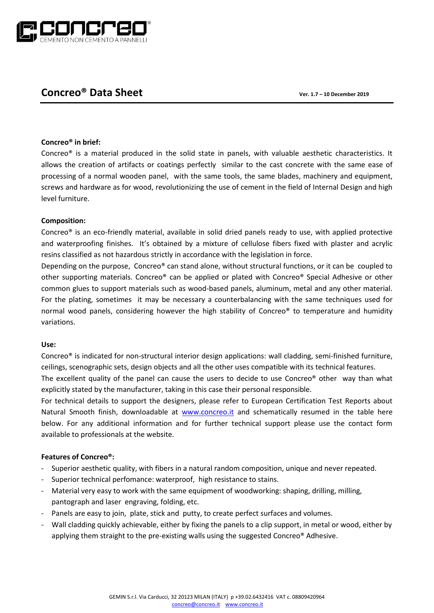

# **Concreo® Data Sheet Ver. 1.7 – 10 December 2019**

# **Concreo® in brief:**

Concreo® is a material produced in the solid state in panels, with valuable aesthetic characteristics. It allows the creation of artifacts or coatings perfectly similar to the cast concrete with the same ease of processing of a normal wooden panel, with the same tools, the same blades, machinery and equipment, screws and hardware as for wood, revolutionizing the use of cement in the field of Internal Design and high level furniture.

# **Composition:**

Concreo® is an eco-friendly material, available in solid dried panels ready to use, with applied protective and waterproofing finishes. It's obtained by a mixture of cellulose fibers fixed with plaster and acrylic resins classified as not hazardous strictly in accordance with the legislation in force.

Depending on the purpose, Concreo® can stand alone, without structural functions, or it can be coupled to other supporting materials. Concreo® can be applied or plated with Concreo® Special Adhesive or other common glues to support materials such as wood-based panels, aluminum, metal and any other material. For the plating, sometimes it may be necessary a counterbalancing with the same techniques used for normal wood panels, considering however the high stability of Concreo<sup>®</sup> to temperature and humidity variations.

# **Use:**

Concreo® is indicated for non-structural interior design applications: wall cladding, semi-finished furniture, ceilings, scenographic sets, design objects and all the other uses compatible with its technical features.

The excellent quality of the panel can cause the users to decide to use Concreo® other way than what explicitly stated by the manufacturer, taking in this case their personal responsible.

For technical details to support the designers, please refer to European Certification Test Reports about Natural Smooth finish, downloadable at [www.concreo.it](http://www.concreo.it/) and schematically resumed in the table here below. For any additional information and for further technical support please use the contact form available to professionals at the website.

# **Features of Concreo®:**

- Superior aesthetic quality, with fibers in a natural random composition, unique and never repeated.
- Superior technical perfomance: waterproof, high resistance to stains.
- Material very easy to work with the same equipment of woodworking: shaping, drilling, milling, pantograph and laser engraving, folding, etc.
- Panels are easy to join, plate, stick and putty, to create perfect surfaces and volumes.
- Wall cladding quickly achievable, either by fixing the panels to a clip support, in metal or wood, either by applying them straight to the pre-existing walls using the suggested Concreo® Adhesive.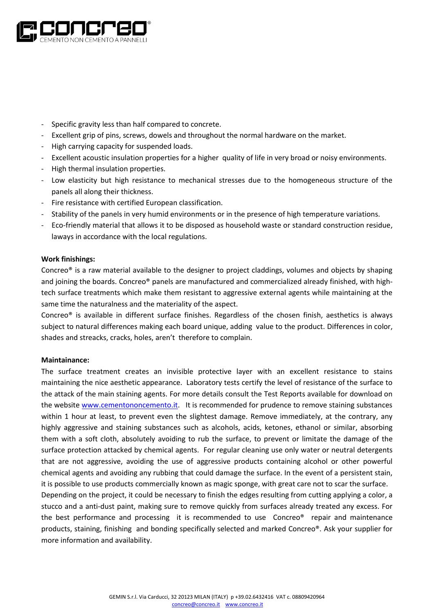

- Specific gravity less than half compared to concrete.
- Excellent grip of pins, screws, dowels and throughout the normal hardware on the market.
- High carrying capacity for suspended loads.
- Excellent acoustic insulation properties for a higher quality of life in very broad or noisy environments.
- High thermal insulation properties.
- Low elasticity but high resistance to mechanical stresses due to the homogeneous structure of the panels all along their thickness.
- Fire resistance with certified European classification.
- Stability of the panels in very humid environments or in the presence of high temperature variations.
- Eco-friendly material that allows it to be disposed as household waste or standard construction residue, laways in accordance with the local regulations.

#### **Work finishings:**

Concreo® is a raw material available to the designer to project claddings, volumes and objects by shaping and joining the boards. Concreo® panels are manufactured and commercialized already finished, with hightech surface treatments which make them resistant to aggressive external agents while maintaining at the same time the naturalness and the materiality of the aspect.

Concreo® is available in different surface finishes. Regardless of the chosen finish, aesthetics is always subject to natural differences making each board unique, adding value to the product. Differences in color, shades and streacks, cracks, holes, aren't therefore to complain.

#### **Maintainance:**

The surface treatment creates an invisible protective layer with an excellent resistance to stains maintaining the nice aesthetic appearance. Laboratory tests certify the level of resistance of the surface to the attack of the main staining agents. For more details consult the Test Reports available for download on the website [www.cementononcemento.it.](http://www.cementononcemento.it/) It is recommended for prudence to remove staining substances within 1 hour at least, to prevent even the slightest damage. Remove immediately, at the contrary, any highly aggressive and staining substances such as alcohols, acids, ketones, ethanol or similar, absorbing them with a soft cloth, absolutely avoiding to rub the surface, to prevent or limitate the damage of the surface protection attacked by chemical agents. For regular cleaning use only water or neutral detergents that are not aggressive, avoiding the use of aggressive products containing alcohol or other powerful chemical agents and avoiding any rubbing that could damage the surface. In the event of a persistent stain, it is possible to use products commercially known as magic sponge, with great care not to scar the surface.

Depending on the project, it could be necessary to finish the edges resulting from cutting applying a color, a stucco and a anti-dust paint, making sure to remove quickly from surfaces already treated any excess. For the best performance and processing it is recommended to use Concreo® repair and maintenance products, staining, finishing and bonding specifically selected and marked Concreo®. Ask your supplier for more information and availability.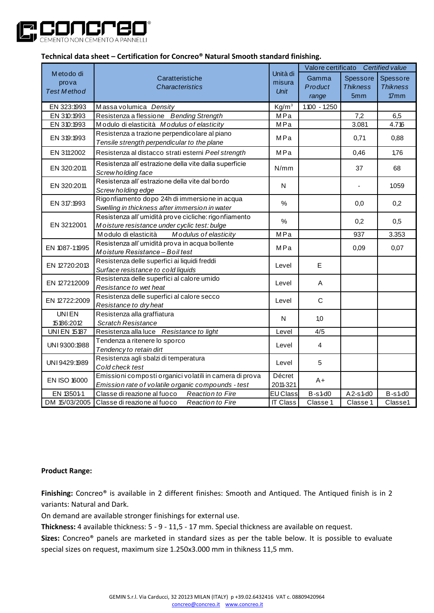

| Technical data sheet - Certification for Concreo® Natural Smooth standard finishing. |                                                                                                               |                                   |                                       |                                    |                                        |  |  |  |  |
|--------------------------------------------------------------------------------------|---------------------------------------------------------------------------------------------------------------|-----------------------------------|---------------------------------------|------------------------------------|----------------------------------------|--|--|--|--|
| Metodo di<br>prova<br><b>Test Method</b>                                             | Caratteristiche<br><b>Characteristics</b>                                                                     | Unità di<br>misura<br><b>Unit</b> | Valore certificato<br>Certified value |                                    |                                        |  |  |  |  |
|                                                                                      |                                                                                                               |                                   | Gamma<br>Product<br>range             | Spessore<br><b>Thikness</b><br>5mm | Spessore<br><b>Thikness</b><br>$77$ mm |  |  |  |  |
| EN 323:1993                                                                          | Massa volumica Density                                                                                        | Kg/m <sup>3</sup>                 | $1.100 - 1.250$                       |                                    |                                        |  |  |  |  |
| EN 310:1993                                                                          | Resistenza a flessione Bending Strength                                                                       | MPa                               |                                       | 7,2                                | 6,5                                    |  |  |  |  |
| EN 310:1993                                                                          | Modulo di elasticità Modulus of elasticity                                                                    | MPa                               |                                       | 3.081                              | 4.716                                  |  |  |  |  |
| EN 319:1993                                                                          | Resistenza a trazione perpendicolare al piano<br>Tensile strength perpendicular to the plane                  | MPa                               |                                       | 0,71                               | 0,88                                   |  |  |  |  |
| EN 311:2002                                                                          | Resistenza al distacco strati esterni Peel strength                                                           | MPa                               |                                       | 0,46                               | 1,76                                   |  |  |  |  |
| EN 320:2011                                                                          | Resistenza all'estrazione della vite dalla superficie<br>Screw holding face                                   | N/mm                              |                                       | 37                                 | 68                                     |  |  |  |  |
| EN 320:2011                                                                          | Resistenza all'estrazione della vite dal bordo<br>Screw holding edge                                          | N                                 |                                       |                                    | 1.059                                  |  |  |  |  |
| EN 317:1993                                                                          | Rigonfiamento dopo 24h di immersione in acqua<br>Swelling in thickness after immersion in water               | $\%$                              |                                       | 0,0                                | 0,2                                    |  |  |  |  |
| EN 321:2001                                                                          | Resistenza all'umidità prove cicliche: rigonfiamento<br>Moisture resistance under cyclic test: bulge          | %                                 |                                       | 0,2                                | 0,5                                    |  |  |  |  |
|                                                                                      | Modulus of elasticity<br>Modulo di elasticità                                                                 | MPa                               |                                       | 937                                | 3.353                                  |  |  |  |  |
| EN 1087-1:1995                                                                       | Resistenza all'umidità prova in acqua bollente<br>Moisture Resistance - Boil test                             | MPa                               |                                       | 0,09                               | 0,07                                   |  |  |  |  |
| EN 12720:2013                                                                        | Resistenza delle superfici ai liquidi freddi<br>Surface resistance to cold liquids                            | Level                             | E                                     |                                    |                                        |  |  |  |  |
| EN 12721:2009                                                                        | Resistenza delle superfici al calore umido<br>Resistance to wet heat                                          | Level                             | A                                     |                                    |                                        |  |  |  |  |
| EN 12722:2009                                                                        | Resistenza delle superfici al calore secco<br>Resistance to dry heat                                          | Level                             | $\mathsf{C}$                          |                                    |                                        |  |  |  |  |
| <b>UNIEN</b><br>15186:2012                                                           | Resistenza alla graffiatura<br><b>Scratch Resistance</b>                                                      | N                                 | 1,0                                   |                                    |                                        |  |  |  |  |
| <b>UNIEN 15187</b>                                                                   | Resistenza alla luce Resistance to light                                                                      | Level                             | 4/5                                   |                                    |                                        |  |  |  |  |
| UNI 9300:1988                                                                        | Tendenza a ritenere lo sporco<br>Tendency to retain dirt                                                      | Level                             | 4                                     |                                    |                                        |  |  |  |  |
| UNI 9429:1989                                                                        | Resistenza agli sbalzi di temperatura<br>Cold check test                                                      | Level                             | 5                                     |                                    |                                        |  |  |  |  |
| EN ISO 16000                                                                         | Emissioni composti organici volatili in camera di prova<br>Emission rate of volatile organic compounds - test | Décret<br>2011-321                | A+                                    |                                    |                                        |  |  |  |  |
| EN 13501-1                                                                           | Classe di reazione al fuoco<br><b>Reaction to Fire</b>                                                        | <b>EU Class</b>                   | $B-s1-d0$                             | $A2-s1-d0$                         | <b>B-s1-d0</b>                         |  |  |  |  |
| DM 15/03/2005                                                                        | Classe di reazione al fuoco<br>Reaction to Fire                                                               | <b>IT Class</b>                   | Classe 1                              | Classe 1                           | Classe1                                |  |  |  |  |

### **Product Range:**

**Finishing:** Concreo® is available in 2 different finishes: Smooth and Antiqued. The Antiqued finish is in 2 variants: Natural and Dark.

On demand are available stronger finishings for external use.

**Thickness:** 4 available thickness: 5 - 9 - 11,5 - 17 mm. Special thickness are available on request.

**Sizes:** Concreo® panels are marketed in standard sizes as per the table below. It is possible to evaluate special sizes on request, maximum size 1.250x3.000 mm in thikness 11,5 mm.